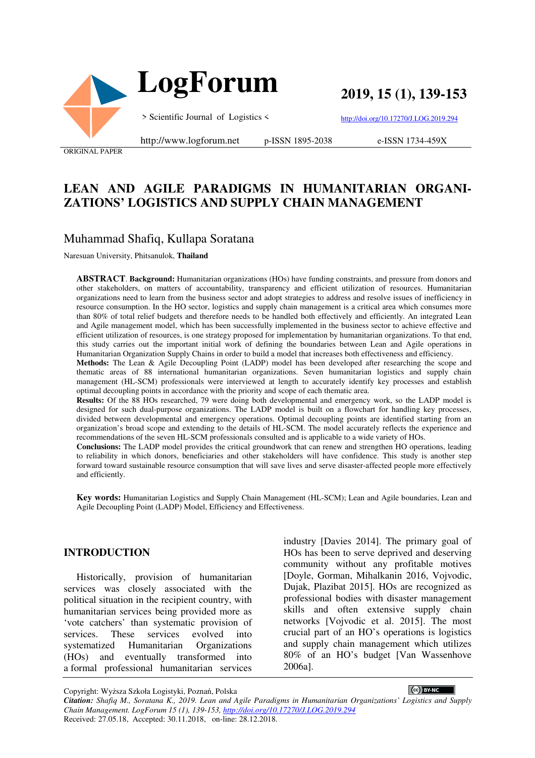

**2019, 15 (1), 139-153**

http://doi.org/10.17270/J.LOG.2019.294

ORIGINAL PAPER

#### http://www.logforum.net p-ISSN 1895-2038

e-ISSN 1734-459X

# **LEAN AND AGILE PARADIGMS IN HUMANITARIAN ORGANI-ZATIONS' LOGISTICS AND SUPPLY CHAIN MANAGEMENT**

## Muhammad Shafiq, Kullapa Soratana

Naresuan University, Phitsanulok, **Thailand**

**ABSTRACT**. **Background:** Humanitarian organizations (HOs) have funding constraints, and pressure from donors and other stakeholders, on matters of accountability, transparency and efficient utilization of resources. Humanitarian organizations need to learn from the business sector and adopt strategies to address and resolve issues of inefficiency in resource consumption. In the HO sector, logistics and supply chain management is a critical area which consumes more than 80% of total relief budgets and therefore needs to be handled both effectively and efficiently. An integrated Lean and Agile management model, which has been successfully implemented in the business sector to achieve effective and efficient utilization of resources, is one strategy proposed for implementation by humanitarian organizations. To that end, this study carries out the important initial work of defining the boundaries between Lean and Agile operations in Humanitarian Organization Supply Chains in order to build a model that increases both effectiveness and efficiency.

**Methods:** The Lean & Agile Decoupling Point (LADP) model has been developed after researching the scope and thematic areas of 88 international humanitarian organizations. Seven humanitarian logistics and supply chain management (HL-SCM) professionals were interviewed at length to accurately identify key processes and establish optimal decoupling points in accordance with the priority and scope of each thematic area.

**Results:** Of the 88 HOs researched, 79 were doing both developmental and emergency work, so the LADP model is designed for such dual-purpose organizations. The LADP model is built on a flowchart for handling key processes, divided between developmental and emergency operations. Optimal decoupling points are identified starting from an organization's broad scope and extending to the details of HL-SCM. The model accurately reflects the experience and recommendations of the seven HL-SCM professionals consulted and is applicable to a wide variety of HOs.

**Conclusions:** The LADP model provides the critical groundwork that can renew and strengthen HO operations, leading to reliability in which donors, beneficiaries and other stakeholders will have confidence. This study is another step forward toward sustainable resource consumption that will save lives and serve disaster-affected people more effectively and efficiently.

**Key words:** Humanitarian Logistics and Supply Chain Management (HL-SCM); Lean and Agile boundaries, Lean and Agile Decoupling Point (LADP) Model, Efficiency and Effectiveness.

#### **INTRODUCTION**

Historically, provision of humanitarian services was closely associated with the political situation in the recipient country, with humanitarian services being provided more as 'vote catchers' than systematic provision of services. These services evolved into systematized Humanitarian Organizations (HOs) and eventually transformed into a formal professional humanitarian services

industry [Davies 2014]. The primary goal of HOs has been to serve deprived and deserving community without any profitable motives [Doyle, Gorman, Mihalkanin 2016, Vojvodic, Dujak, Plazibat 2015]. HOs are recognized as professional bodies with disaster management skills and often extensive supply chain networks [Vojvodic et al. 2015]. The most crucial part of an HO's operations is logistics and supply chain management which utilizes 80% of an HO's budget [Van Wassenhove 2006a].

Copyright: Wyższa Szkoła Logistyki, Poznań, Polska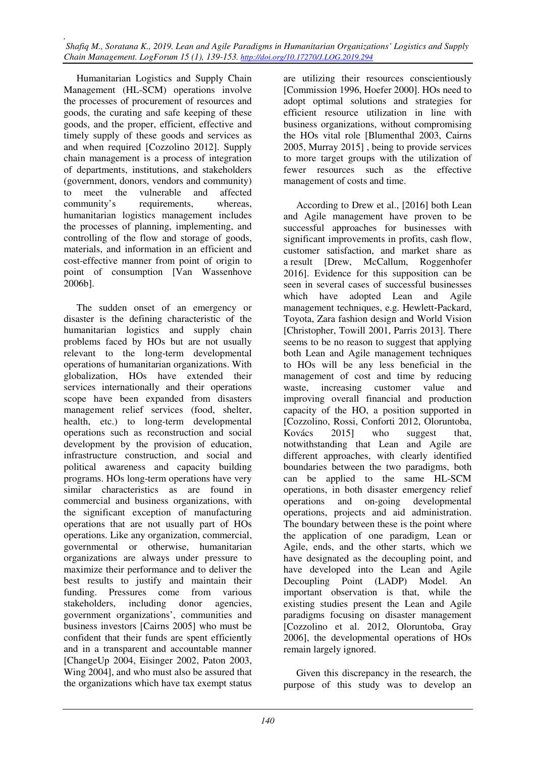Humanitarian Logistics and Supply Chain Management (HL-SCM) operations involve the processes of procurement of resources and goods, the curating and safe keeping of these goods, and the proper, efficient, effective and timely supply of these goods and services as and when required [Cozzolino 2012]. Supply chain management is a process of integration of departments, institutions, and stakeholders (government, donors, vendors and community) to meet the vulnerable and affected community's requirements, whereas, humanitarian logistics management includes the processes of planning, implementing, and controlling of the flow and storage of goods, materials, and information in an efficient and cost-effective manner from point of origin to point of consumption [Van Wassenhove 2006b].

The sudden onset of an emergency or disaster is the defining characteristic of the humanitarian logistics and supply chain problems faced by HOs but are not usually relevant to the long-term developmental operations of humanitarian organizations. With globalization, HOs have extended their services internationally and their operations scope have been expanded from disasters management relief services (food, shelter, health, etc.) to long-term developmental operations such as reconstruction and social development by the provision of education, infrastructure construction, and social and political awareness and capacity building programs. HOs long-term operations have very similar characteristics as are found in commercial and business organizations, with the significant exception of manufacturing operations that are not usually part of HOs operations. Like any organization, commercial, governmental or otherwise, humanitarian organizations are always under pressure to maximize their performance and to deliver the best results to justify and maintain their funding. Pressures come from various stakeholders, including donor agencies, government organizations', communities and business investors [Cairns 2005] who must be confident that their funds are spent efficiently and in a transparent and accountable manner [ChangeUp 2004, Eisinger 2002, Paton 2003, Wing 2004], and who must also be assured that the organizations which have tax exempt status

are utilizing their resources conscientiously [Commission 1996, Hoefer 2000]. HOs need to adopt optimal solutions and strategies for efficient resource utilization in line with business organizations, without compromising the HOs vital role [Blumenthal 2003, Cairns 2005, Murray 2015] , being to provide services to more target groups with the utilization of fewer resources such as the effective management of costs and time.

According to Drew et al., [2016] both Lean and Agile management have proven to be successful approaches for businesses with significant improvements in profits, cash flow, customer satisfaction, and market share as a result [Drew, McCallum, Roggenhofer 2016]. Evidence for this supposition can be seen in several cases of successful businesses which have adopted Lean and Agile management techniques, e.g. Hewlett‐Packard, Toyota, Zara fashion design and World Vision [Christopher, Towill 2001, Parris 2013]. There seems to be no reason to suggest that applying both Lean and Agile management techniques to HOs will be any less beneficial in the management of cost and time by reducing waste, increasing customer value and improving overall financial and production capacity of the HO, a position supported in [Cozzolino, Rossi, Conforti 2012, Oloruntoba, Kovács 2015] who suggest that, notwithstanding that Lean and Agile are different approaches, with clearly identified boundaries between the two paradigms, both can be applied to the same HL-SCM operations, in both disaster emergency relief operations and on-going developmental operations, projects and aid administration. The boundary between these is the point where the application of one paradigm, Lean or Agile, ends, and the other starts, which we have designated as the decoupling point, and have developed into the Lean and Agile Decoupling Point (LADP) Model. An important observation is that, while the existing studies present the Lean and Agile paradigms focusing on disaster management [Cozzolino et al. 2012, Oloruntoba, Gray 2006], the developmental operations of HOs remain largely ignored.

Given this discrepancy in the research, the purpose of this study was to develop an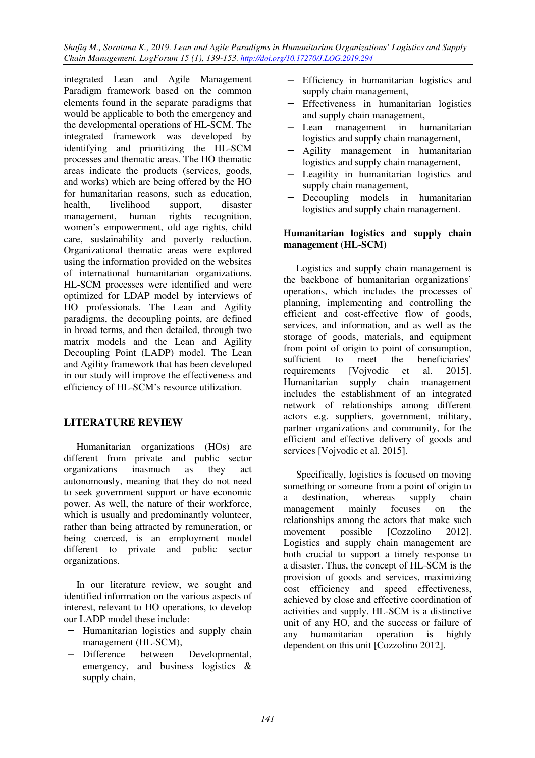integrated Lean and Agile Management Paradigm framework based on the common elements found in the separate paradigms that would be applicable to both the emergency and the developmental operations of HL-SCM. The integrated framework was developed by identifying and prioritizing the HL-SCM processes and thematic areas. The HO thematic areas indicate the products (services, goods, and works) which are being offered by the HO for humanitarian reasons, such as education, health, livelihood support, disaster management, human rights recognition, women's empowerment, old age rights, child care, sustainability and poverty reduction. Organizational thematic areas were explored using the information provided on the websites of international humanitarian organizations. HL-SCM processes were identified and were optimized for LDAP model by interviews of HO professionals. The Lean and Agility paradigms, the decoupling points, are defined in broad terms, and then detailed, through two matrix models and the Lean and Agility Decoupling Point (LADP) model. The Lean and Agility framework that has been developed in our study will improve the effectiveness and efficiency of HL-SCM's resource utilization.

## **LITERATURE REVIEW**

Humanitarian organizations (HOs) are different from private and public sector organizations inasmuch as they act autonomously, meaning that they do not need to seek government support or have economic power. As well, the nature of their workforce, which is usually and predominantly volunteer, rather than being attracted by remuneration, or being coerced, is an employment model different to private and public sector organizations.

In our literature review, we sought and identified information on the various aspects of interest, relevant to HO operations, to develop our LADP model these include:

- − Humanitarian logistics and supply chain management (HL-SCM),
- − Difference between Developmental, emergency, and business logistics & supply chain,
- − Efficiency in humanitarian logistics and supply chain management,
- − Effectiveness in humanitarian logistics and supply chain management,
- − Lean management in humanitarian logistics and supply chain management,
- − Agility management in humanitarian logistics and supply chain management,
- − Leagility in humanitarian logistics and supply chain management,
- Decoupling models in humanitarian logistics and supply chain management.

### **Humanitarian logistics and supply chain management (HL-SCM)**

Logistics and supply chain management is the backbone of humanitarian organizations' operations, which includes the processes of planning, implementing and controlling the efficient and cost-effective flow of goods, services, and information, and as well as the storage of goods, materials, and equipment from point of origin to point of consumption, sufficient to meet the beneficiaries' requirements [Vojvodic et al. 2015]. Humanitarian supply chain management includes the establishment of an integrated network of relationships among different actors e.g. suppliers, government, military, partner organizations and community, for the efficient and effective delivery of goods and services [Vojvodic et al. 2015].

Specifically, logistics is focused on moving something or someone from a point of origin to a destination, whereas supply chain management mainly focuses on the relationships among the actors that make such movement possible [Cozzolino 2012]. Logistics and supply chain management are both crucial to support a timely response to a disaster. Thus, the concept of HL-SCM is the provision of goods and services, maximizing cost efficiency and speed effectiveness, achieved by close and effective coordination of activities and supply. HL-SCM is a distinctive unit of any HO, and the success or failure of any humanitarian operation is highly dependent on this unit [Cozzolino 2012].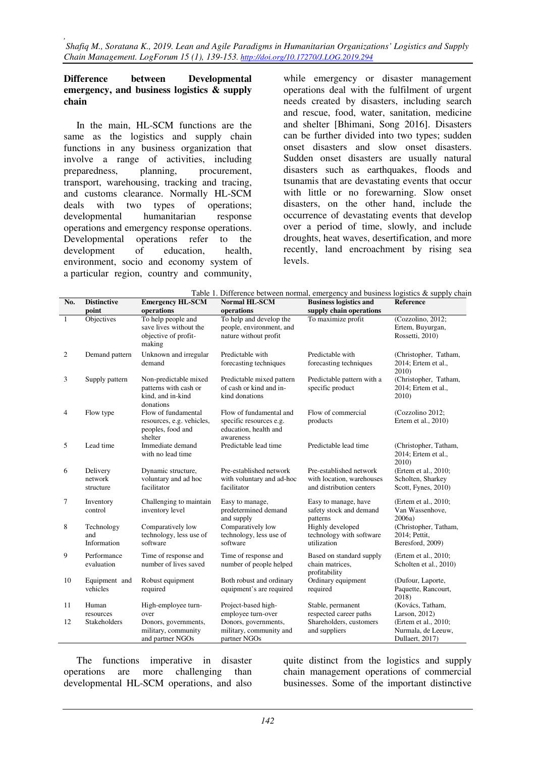### **Difference between Developmental emergency, and business logistics & supply chain**

In the main, HL-SCM functions are the same as the logistics and supply chain functions in any business organization that involve a range of activities, including preparedness, planning, procurement, transport, warehousing, tracking and tracing, and customs clearance. Normally HL-SCM deals with two types of operations; developmental humanitarian response operations and emergency response operations. Developmental operations refer to the development of education, health, environment, socio and economy system of a particular region, country and community,

while emergency or disaster management operations deal with the fulfilment of urgent needs created by disasters, including search and rescue, food, water, sanitation, medicine and shelter [Bhimani, Song 2016]. Disasters can be further divided into two types; sudden onset disasters and slow onset disasters. Sudden onset disasters are usually natural disasters such as earthquakes, floods and tsunamis that are devastating events that occur with little or no forewarning. Slow onset disasters, on the other hand, include the occurrence of devastating events that develop over a period of time, slowly, and include droughts, heat waves, desertification, and more recently, land encroachment by rising sea levels.

| No.          | <b>Distinctive</b>               | <b>Emergency HL-SCM</b>                                                          | Tuble 1. Difference between normal, emergency and business togethes ex supply enant<br>Normal HL-SCM | <b>Business logistics and</b>                                                    | Reference                                                                      |
|--------------|----------------------------------|----------------------------------------------------------------------------------|------------------------------------------------------------------------------------------------------|----------------------------------------------------------------------------------|--------------------------------------------------------------------------------|
|              | point                            | operations                                                                       | operations                                                                                           | supply chain operations                                                          |                                                                                |
| $\mathbf{1}$ | Objectives                       | To help people and<br>save lives without the<br>objective of profit-<br>making   | To help and develop the<br>people, environment, and<br>nature without profit                         | To maximize profit                                                               | (Cozzolino, 2012;<br>Ertem, Buyurgan,<br>Rossetti, 2010)                       |
| 2            | Demand pattern                   | Unknown and irregular<br>demand                                                  | Predictable with<br>forecasting techniques                                                           | Predictable with<br>forecasting techniques                                       | (Christopher, Tatham,<br>2014; Ertem et al.,<br>2010)                          |
| 3            | Supply pattern                   | Non-predictable mixed<br>patterns with cash or<br>kind, and in-kind<br>donations | Predictable mixed pattern<br>of cash or kind and in-<br>kind donations                               | Predictable pattern with a<br>specific product                                   | (Christopher, Tatham,<br>2014; Ertem et al.,<br>2010)                          |
| 4            | Flow type                        | Flow of fundamental<br>resources, e.g. vehicles,<br>peoples, food and<br>shelter | Flow of fundamental and<br>specific resources e.g.<br>education, health and<br>awareness             | Flow of commercial<br>products                                                   | (Cozzolino 2012;<br>Ertem et al., 2010)                                        |
| 5            | Lead time                        | Immediate demand<br>with no lead time                                            | Predictable lead time                                                                                | Predictable lead time                                                            | (Christopher, Tatham,<br>2014; Ertem et al.,<br>2010)                          |
| 6            | Delivery<br>network<br>structure | Dynamic structure,<br>voluntary and ad hoc<br>facilitator                        | Pre-established network<br>with voluntary and ad-hoc<br>facilitator                                  | Pre-established network<br>with location, warehouses<br>and distribution centers | (Ertem et al., 2010;<br>Scholten, Sharkey<br>Scott, Fynes, 2010)               |
| 7            | Inventory<br>control             | Challenging to maintain<br>inventory level                                       | Easy to manage,<br>predetermined demand<br>and supply                                                | Easy to manage, have<br>safety stock and demand<br>patterns                      | (Ertem et al., 2010;<br>Van Wassenhove,<br>2006a)                              |
| 8            | Technology<br>and<br>Information | Comparatively low<br>technology, less use of<br>software                         | Comparatively low<br>technology, less use of<br>software                                             | Highly developed<br>technology with software<br>utilization                      | (Christopher, Tatham,<br>2014; Pettit,<br>Beresford, 2009)                     |
| 9            | Performance<br>evaluation        | Time of response and<br>number of lives saved                                    | Time of response and<br>number of people helped                                                      | Based on standard supply<br>chain matrices.<br>profitability                     | (Ertem et al., 2010;<br>Scholten et al., 2010)                                 |
| 10           | Equipment and<br>vehicles        | Robust equipment<br>required                                                     | Both robust and ordinary<br>equipment's are required                                                 | Ordinary equipment<br>required                                                   | (Dufour, Laporte,<br>Paquette, Rancourt,<br>2018)                              |
| 11           | Human                            | High-employee turn-                                                              | Project-based high-                                                                                  | Stable, permanent                                                                | (Kovács, Tatham,                                                               |
| 12           | resources<br>Stakeholders        | over<br>Donors, governments,<br>military, community<br>and partner NGOs          | employee turn-over<br>Donors, governments,<br>military, community and<br>partner NGOs                | respected career paths<br>Shareholders, customers<br>and suppliers               | Larson, 2012)<br>(Ertem et al., 2010;<br>Nurmala, de Leeuw,<br>Dullaert, 2017) |

Table 1. Difference between normal, emergency and business logistics  $\&$  supply chain

The functions imperative in disaster operations are more challenging than developmental HL-SCM operations, and also

quite distinct from the logistics and supply chain management operations of commercial businesses. Some of the important distinctive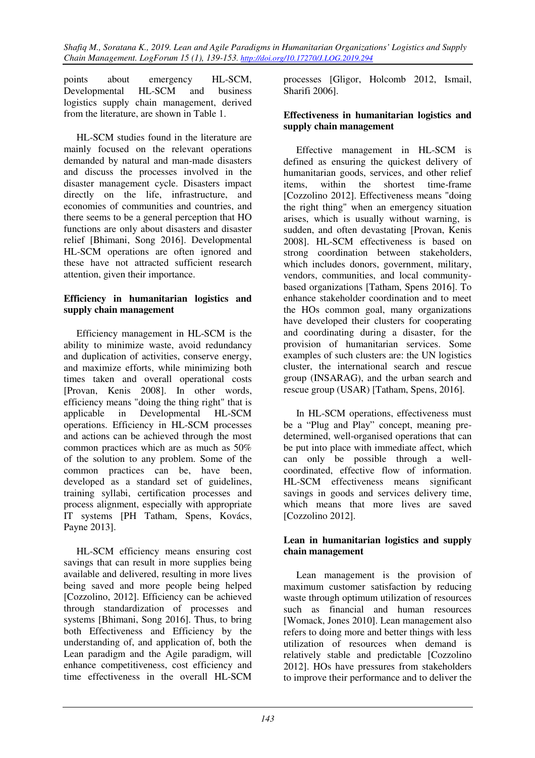points about emergency HL-SCM, Developmental HL-SCM and business logistics supply chain management, derived from the literature, are shown in Table 1.

HL-SCM studies found in the literature are mainly focused on the relevant operations demanded by natural and man-made disasters and discuss the processes involved in the disaster management cycle. Disasters impact directly on the life, infrastructure, and economies of communities and countries, and there seems to be a general perception that HO functions are only about disasters and disaster relief [Bhimani, Song 2016]. Developmental HL-SCM operations are often ignored and these have not attracted sufficient research attention, given their importance.

## **Efficiency in humanitarian logistics and supply chain management**

Efficiency management in HL-SCM is the ability to minimize waste, avoid redundancy and duplication of activities, conserve energy, and maximize efforts, while minimizing both times taken and overall operational costs [Provan, Kenis 2008]. In other words, efficiency means "doing the thing right" that is applicable in Developmental HL-SCM operations. Efficiency in HL-SCM processes and actions can be achieved through the most common practices which are as much as 50% of the solution to any problem. Some of the common practices can be, have been, developed as a standard set of guidelines, training syllabi, certification processes and process alignment, especially with appropriate IT systems [PH Tatham, Spens, Kovács, Payne 2013].

HL-SCM efficiency means ensuring cost savings that can result in more supplies being available and delivered, resulting in more lives being saved and more people being helped [Cozzolino, 2012]. Efficiency can be achieved through standardization of processes and systems [Bhimani, Song 2016]. Thus, to bring both Effectiveness and Efficiency by the understanding of, and application of, both the Lean paradigm and the Agile paradigm, will enhance competitiveness, cost efficiency and time effectiveness in the overall HL-SCM

processes [Gligor, Holcomb 2012, Ismail, Sharifi 2006].

## **Effectiveness in humanitarian logistics and supply chain management**

Effective management in HL-SCM is defined as ensuring the quickest delivery of humanitarian goods, services, and other relief items, within the shortest time-frame [Cozzolino 2012]. Effectiveness means "doing the right thing" when an emergency situation arises, which is usually without warning, is sudden, and often devastating [Provan, Kenis 2008]. HL-SCM effectiveness is based on strong coordination between stakeholders, which includes donors, government, military, vendors, communities, and local communitybased organizations [Tatham, Spens 2016]. To enhance stakeholder coordination and to meet the HOs common goal, many organizations have developed their clusters for cooperating and coordinating during a disaster, for the provision of humanitarian services. Some examples of such clusters are: the UN logistics cluster, the international search and rescue group (INSARAG), and the urban search and rescue group (USAR) [Tatham, Spens, 2016].

In HL-SCM operations, effectiveness must be a "Plug and Play" concept, meaning predetermined, well-organised operations that can be put into place with immediate affect, which can only be possible through a wellcoordinated, effective flow of information. HL-SCM effectiveness means significant savings in goods and services delivery time, which means that more lives are saved [Cozzolino 2012].

## **Lean in humanitarian logistics and supply chain management**

Lean management is the provision of maximum customer satisfaction by reducing waste through optimum utilization of resources such as financial and human resources [Womack, Jones 2010]. Lean management also refers to doing more and better things with less utilization of resources when demand is relatively stable and predictable [Cozzolino 2012]. HOs have pressures from stakeholders to improve their performance and to deliver the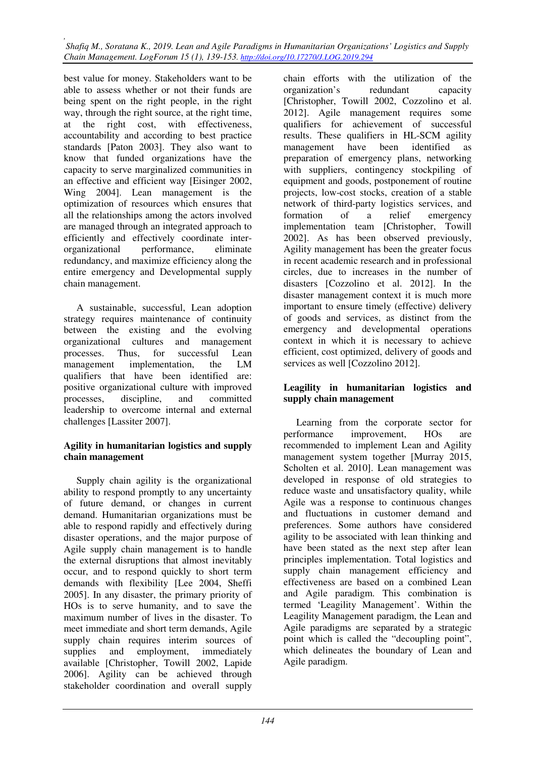best value for money. Stakeholders want to be able to assess whether or not their funds are being spent on the right people, in the right way, through the right source, at the right time, at the right cost, with effectiveness, accountability and according to best practice standards [Paton 2003]. They also want to know that funded organizations have the capacity to serve marginalized communities in an effective and efficient way [Eisinger 2002, Wing 2004]. Lean management is the optimization of resources which ensures that all the relationships among the actors involved are managed through an integrated approach to efficiently and effectively coordinate interorganizational performance, eliminate redundancy, and maximize efficiency along the entire emergency and Developmental supply chain management.

A sustainable, successful, Lean adoption strategy requires maintenance of continuity between the existing and the evolving organizational cultures and management processes. Thus, for successful Lean management implementation, the LM qualifiers that have been identified are: positive organizational culture with improved processes, discipline, and committed leadership to overcome internal and external challenges [Lassiter 2007].

## **Agility in humanitarian logistics and supply chain management**

Supply chain agility is the organizational ability to respond promptly to any uncertainty of future demand, or changes in current demand. Humanitarian organizations must be able to respond rapidly and effectively during disaster operations, and the major purpose of Agile supply chain management is to handle the external disruptions that almost inevitably occur, and to respond quickly to short term demands with flexibility [Lee 2004, Sheffi 2005]. In any disaster, the primary priority of HOs is to serve humanity, and to save the maximum number of lives in the disaster. To meet immediate and short term demands, Agile supply chain requires interim sources of supplies and employment, immediately available [Christopher, Towill 2002, Lapide 2006]. Agility can be achieved through stakeholder coordination and overall supply

chain efforts with the utilization of the organization's redundant capacity [Christopher, Towill 2002, Cozzolino et al. 2012]. Agile management requires some qualifiers for achievement of successful results. These qualifiers in HL-SCM agility management have been identified as preparation of emergency plans, networking with suppliers, contingency stockpiling of equipment and goods, postponement of routine projects, low-cost stocks, creation of a stable network of third-party logistics services, and formation of a relief emergency implementation team [Christopher, Towill 2002]. As has been observed previously, Agility management has been the greater focus in recent academic research and in professional circles, due to increases in the number of disasters [Cozzolino et al. 2012]. In the disaster management context it is much more important to ensure timely (effective) delivery of goods and services, as distinct from the emergency and developmental operations context in which it is necessary to achieve efficient, cost optimized, delivery of goods and services as well [Cozzolino 2012].

## **Leagility in humanitarian logistics and supply chain management**

Learning from the corporate sector for performance improvement, HOs are recommended to implement Lean and Agility management system together [Murray 2015, Scholten et al. 2010]. Lean management was developed in response of old strategies to reduce waste and unsatisfactory quality, while Agile was a response to continuous changes and fluctuations in customer demand and preferences. Some authors have considered agility to be associated with lean thinking and have been stated as the next step after lean principles implementation. Total logistics and supply chain management efficiency and effectiveness are based on a combined Lean and Agile paradigm. This combination is termed 'Leagility Management'. Within the Leagility Management paradigm, the Lean and Agile paradigms are separated by a strategic point which is called the "decoupling point", which delineates the boundary of Lean and Agile paradigm.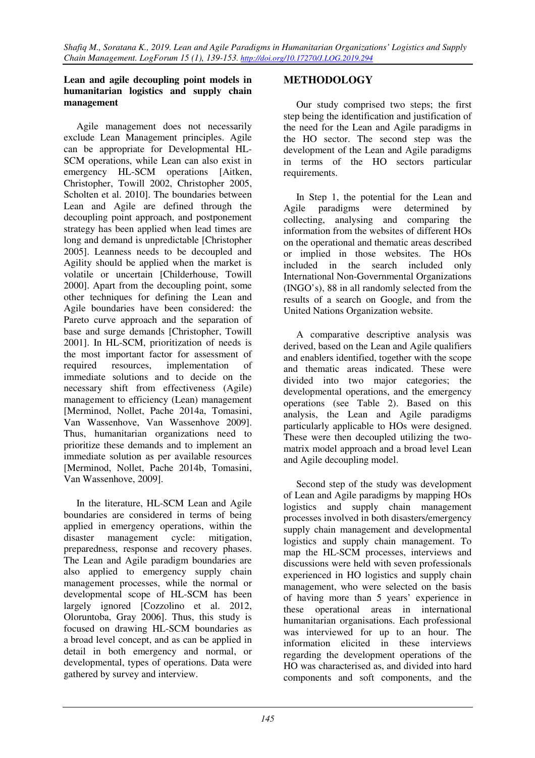## **Lean and agile decoupling point models in humanitarian logistics and supply chain management**

Agile management does not necessarily exclude Lean Management principles. Agile can be appropriate for Developmental HL-SCM operations, while Lean can also exist in emergency HL-SCM operations [Aitken, Christopher, Towill 2002, Christopher 2005, Scholten et al. 2010]. The boundaries between Lean and Agile are defined through the decoupling point approach, and postponement strategy has been applied when lead times are long and demand is unpredictable [Christopher 2005]. Leanness needs to be decoupled and Agility should be applied when the market is volatile or uncertain [Childerhouse, Towill 2000]. Apart from the decoupling point, some other techniques for defining the Lean and Agile boundaries have been considered: the Pareto curve approach and the separation of base and surge demands [Christopher, Towill 2001]. In HL-SCM, prioritization of needs is the most important factor for assessment of required resources, implementation of immediate solutions and to decide on the necessary shift from effectiveness (Agile) management to efficiency (Lean) management [Merminod, Nollet, Pache 2014a, Tomasini, Van Wassenhove, Van Wassenhove 2009]. Thus, humanitarian organizations need to prioritize these demands and to implement an immediate solution as per available resources [Merminod, Nollet, Pache 2014b, Tomasini, Van Wassenhove, 2009].

In the literature, HL-SCM Lean and Agile boundaries are considered in terms of being applied in emergency operations, within the disaster management cycle: mitigation, preparedness, response and recovery phases. The Lean and Agile paradigm boundaries are also applied to emergency supply chain management processes, while the normal or developmental scope of HL-SCM has been largely ignored [Cozzolino et al. 2012, Oloruntoba, Gray 2006]. Thus, this study is focused on drawing HL-SCM boundaries as a broad level concept, and as can be applied in detail in both emergency and normal, or developmental, types of operations. Data were gathered by survey and interview.

## **METHODOLOGY**

Our study comprised two steps; the first step being the identification and justification of the need for the Lean and Agile paradigms in the HO sector. The second step was the development of the Lean and Agile paradigms in terms of the HO sectors particular requirements.

In Step 1, the potential for the Lean and Agile paradigms were determined by collecting, analysing and comparing the information from the websites of different HOs on the operational and thematic areas described or implied in those websites. The HOs included in the search included only International Non-Governmental Organizations (INGO's), 88 in all randomly selected from the results of a search on Google, and from the United Nations Organization website.

A comparative descriptive analysis was derived, based on the Lean and Agile qualifiers and enablers identified, together with the scope and thematic areas indicated. These were divided into two major categories; the developmental operations, and the emergency operations (see Table 2). Based on this analysis, the Lean and Agile paradigms particularly applicable to HOs were designed. These were then decoupled utilizing the twomatrix model approach and a broad level Lean and Agile decoupling model.

Second step of the study was development of Lean and Agile paradigms by mapping HOs logistics and supply chain management processes involved in both disasters/emergency supply chain management and developmental logistics and supply chain management. To map the HL-SCM processes, interviews and discussions were held with seven professionals experienced in HO logistics and supply chain management, who were selected on the basis of having more than 5 years' experience in these operational areas in international humanitarian organisations. Each professional was interviewed for up to an hour. The information elicited in these interviews regarding the development operations of the HO was characterised as, and divided into hard components and soft components, and the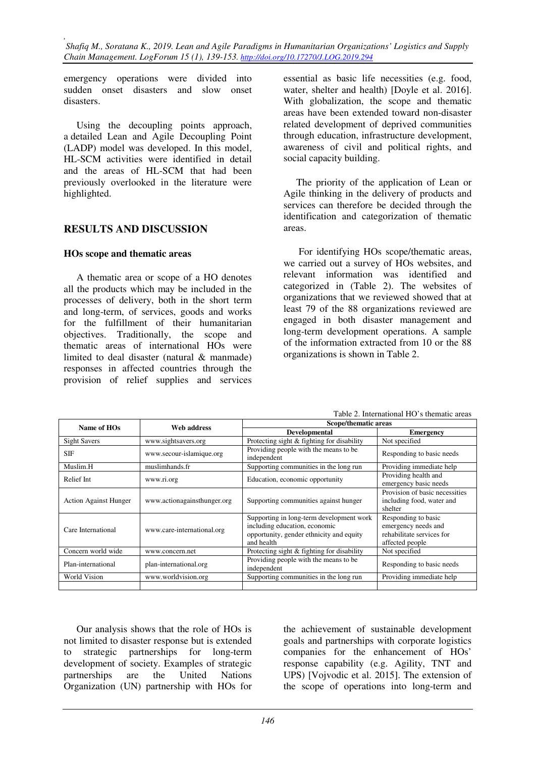emergency operations were divided into sudden onset disasters and slow onset disasters.

Using the decoupling points approach, a detailed Lean and Agile Decoupling Point (LADP) model was developed. In this model, HL-SCM activities were identified in detail and the areas of HL-SCM that had been previously overlooked in the literature were highlighted.

## **RESULTS AND DISCUSSION**

## **HOs scope and thematic areas**

A thematic area or scope of a HO denotes all the products which may be included in the processes of delivery, both in the short term and long-term, of services, goods and works for the fulfillment of their humanitarian objectives. Traditionally, the scope and thematic areas of international HOs were limited to deal disaster (natural & manmade) responses in affected countries through the provision of relief supplies and services

essential as basic life necessities (e.g. food, water, shelter and health) [Doyle et al. 2016]. With globalization, the scope and thematic areas have been extended toward non-disaster related development of deprived communities through education, infrastructure development, awareness of civil and political rights, and social capacity building.

The priority of the application of Lean or Agile thinking in the delivery of products and services can therefore be decided through the identification and categorization of thematic areas.

 For identifying HOs scope/thematic areas, we carried out a survey of HOs websites, and relevant information was identified and categorized in (Table 2). The websites of organizations that we reviewed showed that at least 79 of the 88 organizations reviewed are engaged in both disaster management and long-term development operations. A sample of the information extracted from 10 or the 88 organizations is shown in Table 2.

| Name of HOs                  | Web address                 | Scope/thematic areas                                                                                                                |                                                                                            |  |
|------------------------------|-----------------------------|-------------------------------------------------------------------------------------------------------------------------------------|--------------------------------------------------------------------------------------------|--|
|                              |                             | <b>Developmental</b>                                                                                                                | <b>Emergency</b>                                                                           |  |
| <b>Sight Savers</b>          | www.sightsavers.org         | Protecting sight & fighting for disability                                                                                          | Not specified                                                                              |  |
| <b>SIF</b>                   | www.secour-islamique.org    | Providing people with the means to be<br>independent                                                                                | Responding to basic needs                                                                  |  |
| Muslim.H<br>muslimhands.fr   |                             | Supporting communities in the long run                                                                                              | Providing immediate help                                                                   |  |
| Relief Int                   | www.ri.org                  | Education, economic opportunity                                                                                                     | Providing health and<br>emergency basic needs                                              |  |
| <b>Action Against Hunger</b> | www.actionagainsthunger.org | Supporting communities against hunger                                                                                               | Provision of basic necessities<br>including food, water and<br>shelter                     |  |
| Care International           | www.care-international.org  | Supporting in long-term development work<br>including education, economic<br>opportunity, gender ethnicity and equity<br>and health | Responding to basic<br>emergency needs and<br>rehabilitate services for<br>affected people |  |
| Concern world wide           | www.concern.net             | Protecting sight & fighting for disability                                                                                          | Not specified                                                                              |  |
| Plan-international           | plan-international.org      | Providing people with the means to be.<br>independent                                                                               | Responding to basic needs                                                                  |  |
| World Vision                 | www.worldvision.org         | Supporting communities in the long run                                                                                              | Providing immediate help                                                                   |  |
|                              |                             |                                                                                                                                     |                                                                                            |  |

Table 2. International HO's thematic areas

Our analysis shows that the role of HOs is not limited to disaster response but is extended to strategic partnerships for long-term development of society. Examples of strategic partnerships are the United Nations Organization (UN) partnership with HOs for

the achievement of sustainable development goals and partnerships with corporate logistics companies for the enhancement of HOs' response capability (e.g. Agility, TNT and UPS) [Vojvodic et al. 2015]. The extension of the scope of operations into long-term and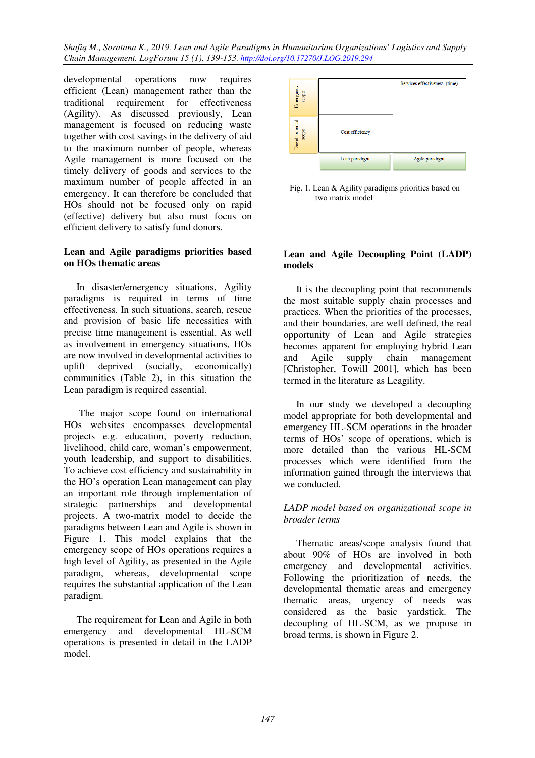developmental operations now requires efficient (Lean) management rather than the traditional requirement for effectiveness (Agility). As discussed previously, Lean management is focused on reducing waste together with cost savings in the delivery of aid to the maximum number of people, whereas Agile management is more focused on the timely delivery of goods and services to the maximum number of people affected in an emergency. It can therefore be concluded that HOs should not be focused only on rapid (effective) delivery but also must focus on efficient delivery to satisfy fund donors.

### **Lean and Agile paradigms priorities based on HOs thematic areas**

In disaster/emergency situations, Agility paradigms is required in terms of time effectiveness. In such situations, search, rescue and provision of basic life necessities with precise time management is essential. As well as involvement in emergency situations, HOs are now involved in developmental activities to uplift deprived (socially, economically) communities (Table 2), in this situation the Lean paradigm is required essential.

 The major scope found on international HOs websites encompasses developmental projects e.g. education, poverty reduction, livelihood, child care, woman's empowerment, youth leadership, and support to disabilities. To achieve cost efficiency and sustainability in the HO's operation Lean management can play an important role through implementation of strategic partnerships and developmental projects. A two-matrix model to decide the paradigms between Lean and Agile is shown in Figure 1. This model explains that the emergency scope of HOs operations requires a high level of Agility, as presented in the Agile paradigm, whereas, developmental scope requires the substantial application of the Lean paradigm.

The requirement for Lean and Agile in both emergency and developmental HL-SCM operations is presented in detail in the LADP model.



Fig. 1. Lean & Agility paradigms priorities based on two matrix model

## **Lean and Agile Decoupling Point (LADP) models**

It is the decoupling point that recommends the most suitable supply chain processes and practices. When the priorities of the processes, and their boundaries, are well defined, the real opportunity of Lean and Agile strategies becomes apparent for employing hybrid Lean and Agile supply chain management [Christopher, Towill 2001], which has been termed in the literature as Leagility.

In our study we developed a decoupling model appropriate for both developmental and emergency HL-SCM operations in the broader terms of HOs' scope of operations, which is more detailed than the various HL-SCM processes which were identified from the information gained through the interviews that we conducted.

## *LADP model based on organizational scope in broader terms*

Thematic areas/scope analysis found that about 90% of HOs are involved in both emergency and developmental activities. Following the prioritization of needs, the developmental thematic areas and emergency thematic areas, urgency of needs was considered as the basic yardstick. The decoupling of HL-SCM, as we propose in broad terms, is shown in Figure 2.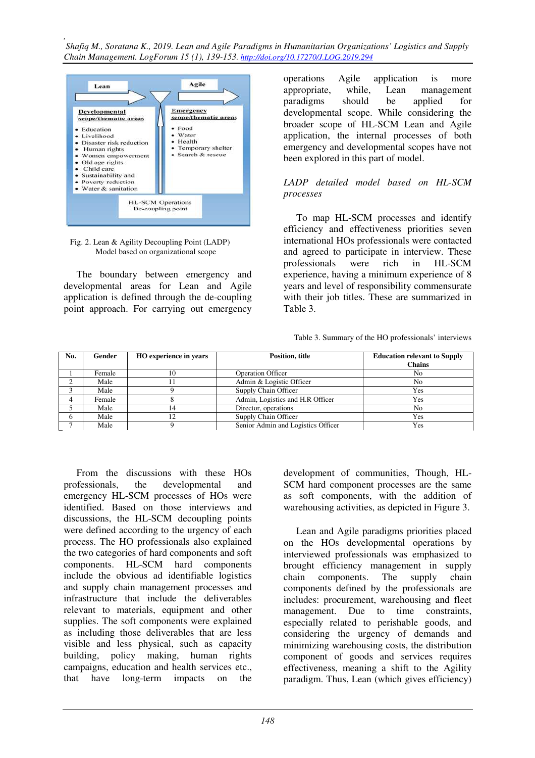

Fig. 2. Lean & Agility Decoupling Point (LADP) Model based on organizational scope

The boundary between emergency and developmental areas for Lean and Agile application is defined through the de-coupling point approach. For carrying out emergency

operations Agile application is more appropriate, while, Lean management paradigms should be applied for developmental scope. While considering the broader scope of HL-SCM Lean and Agile application, the internal processes of both emergency and developmental scopes have not been explored in this part of model.

## *LADP detailed model based on HL-SCM processes*

To map HL-SCM processes and identify efficiency and effectiveness priorities seven international HOs professionals were contacted and agreed to participate in interview. These professionals were rich in HL-SCM experience, having a minimum experience of 8 years and level of responsibility commensurate with their job titles. These are summarized in Table 3.

Table 3. Summary of the HO professionals' interviews

| No.    | Gender | HO experience in years | Position, title                    | <b>Education relevant to Supply</b><br><b>Chains</b> |
|--------|--------|------------------------|------------------------------------|------------------------------------------------------|
|        | Female | 10                     | <b>Operation Officer</b>           | No                                                   |
| $\sim$ | Male   |                        | Admin & Logistic Officer           | No                                                   |
|        | Male   |                        | Supply Chain Officer               | Yes                                                  |
|        | Female |                        | Admin, Logistics and H.R Officer   | Yes                                                  |
|        | Male   | ، 4                    | Director, operations               | N <sub>0</sub>                                       |
| 6      | Male   | 12                     | Supply Chain Officer               | Yes                                                  |
|        | Male   |                        | Senior Admin and Logistics Officer | Yes                                                  |

From the discussions with these HOs professionals, the developmental and emergency HL-SCM processes of HOs were identified. Based on those interviews and discussions, the HL-SCM decoupling points were defined according to the urgency of each process. The HO professionals also explained the two categories of hard components and soft components. HL-SCM hard components include the obvious ad identifiable logistics and supply chain management processes and infrastructure that include the deliverables relevant to materials, equipment and other supplies. The soft components were explained as including those deliverables that are less visible and less physical, such as capacity building, policy making, human rights campaigns, education and health services etc., that have long-term impacts on the

development of communities, Though, HL-SCM hard component processes are the same as soft components, with the addition of warehousing activities, as depicted in Figure 3.

Lean and Agile paradigms priorities placed on the HOs developmental operations by interviewed professionals was emphasized to brought efficiency management in supply chain components. The supply chain components defined by the professionals are includes: procurement, warehousing and fleet management. Due to time constraints, especially related to perishable goods, and considering the urgency of demands and minimizing warehousing costs, the distribution component of goods and services requires effectiveness, meaning a shift to the Agility paradigm. Thus, Lean (which gives efficiency)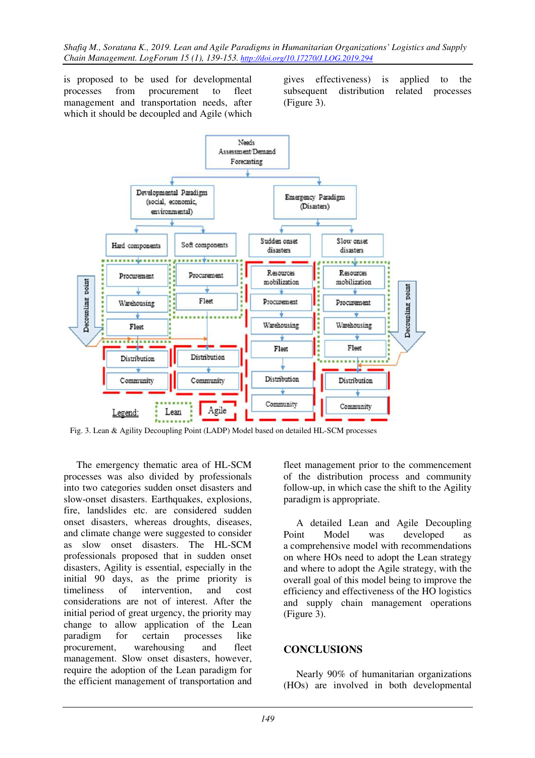is proposed to be used for developmental processes from procurement to fleet management and transportation needs, after which it should be decoupled and Agile (which gives effectiveness) is applied to the subsequent distribution related processes (Figure 3).



Fig. 3. Lean & Agility Decoupling Point (LADP) Model based on detailed HL-SCM processes

The emergency thematic area of HL-SCM processes was also divided by professionals into two categories sudden onset disasters and slow-onset disasters. Earthquakes, explosions, fire, landslides etc. are considered sudden onset disasters, whereas droughts, diseases, and climate change were suggested to consider as slow onset disasters. The HL-SCM professionals proposed that in sudden onset disasters, Agility is essential, especially in the initial 90 days, as the prime priority is timeliness of intervention, and cost considerations are not of interest. After the initial period of great urgency, the priority may change to allow application of the Lean paradigm for certain processes like procurement, warehousing and fleet management. Slow onset disasters, however, require the adoption of the Lean paradigm for the efficient management of transportation and fleet management prior to the commencement of the distribution process and community follow-up, in which case the shift to the Agility paradigm is appropriate.

A detailed Lean and Agile Decoupling Point Model was developed as a comprehensive model with recommendations on where HOs need to adopt the Lean strategy and where to adopt the Agile strategy, with the overall goal of this model being to improve the efficiency and effectiveness of the HO logistics and supply chain management operations (Figure 3).

## **CONCLUSIONS**

Nearly 90% of humanitarian organizations (HOs) are involved in both developmental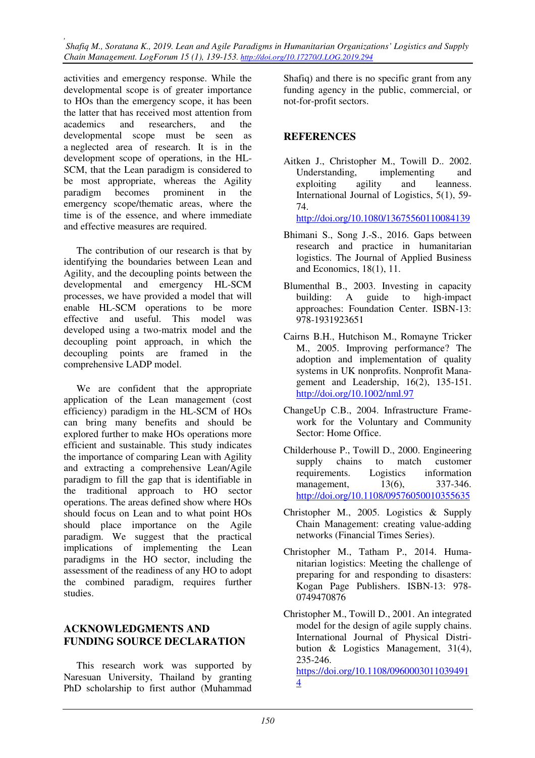activities and emergency response. While the developmental scope is of greater importance to HOs than the emergency scope, it has been the latter that has received most attention from academics and researchers, and the developmental scope must be seen as a neglected area of research. It is in the development scope of operations, in the HL-SCM, that the Lean paradigm is considered to be most appropriate, whereas the Agility paradigm becomes prominent in the emergency scope/thematic areas, where the time is of the essence, and where immediate and effective measures are required.

The contribution of our research is that by identifying the boundaries between Lean and Agility, and the decoupling points between the developmental and emergency HL-SCM processes, we have provided a model that will enable HL-SCM operations to be more effective and useful. This model was developed using a two-matrix model and the decoupling point approach, in which the decoupling points are framed in the comprehensive LADP model.

We are confident that the appropriate application of the Lean management (cost efficiency) paradigm in the HL-SCM of HOs can bring many benefits and should be explored further to make HOs operations more efficient and sustainable. This study indicates the importance of comparing Lean with Agility and extracting a comprehensive Lean/Agile paradigm to fill the gap that is identifiable in the traditional approach to HO sector operations. The areas defined show where HOs should focus on Lean and to what point HOs should place importance on the Agile paradigm. We suggest that the practical implications of implementing the Lean paradigms in the HO sector, including the assessment of the readiness of any HO to adopt the combined paradigm, requires further studies.

## **ACKNOWLEDGMENTS AND FUNDING SOURCE DECLARATION**

This research work was supported by Naresuan University, Thailand by granting PhD scholarship to first author (Muhammad Shafiq) and there is no specific grant from any funding agency in the public, commercial, or not-for-profit sectors.

## **REFERENCES**

Aitken J., Christopher M., Towill D.. 2002. Understanding, implementing and exploiting agility and leanness. International Journal of Logistics, 5(1), 59- 74.

http://doi.org/10.1080/13675560110084139

- Bhimani S., Song J.-S., 2016. Gaps between research and practice in humanitarian logistics. The Journal of Applied Business and Economics, 18(1), 11.
- Blumenthal B., 2003. Investing in capacity building: A guide to high-impact approaches: Foundation Center. ISBN-13: 978-1931923651
- Cairns B.H., Hutchison M., Romayne Tricker M., 2005. Improving performance? The adoption and implementation of quality systems in UK nonprofits. Nonprofit Management and Leadership, 16(2), 135-151. http://doi.org/10.1002/nml.97
- ChangeUp C.B., 2004. Infrastructure Framework for the Voluntary and Community Sector: Home Office.
- Childerhouse P., Towill D., 2000. Engineering supply chains to match customer requirements. Logistics information management, 13(6), 337-346. http://doi.org/10.1108/09576050010355635
- Christopher M., 2005. Logistics & Supply Chain Management: creating value-adding networks (Financial Times Series).
- Christopher M., Tatham P., 2014. Humanitarian logistics: Meeting the challenge of preparing for and responding to disasters: Kogan Page Publishers. ISBN-13: 978- 0749470876
- Christopher M., Towill D., 2001. An integrated model for the design of agile supply chains. International Journal of Physical Distribution & Logistics Management, 31(4), 235-246.

https://doi.org/10.1108/0960003011039491 4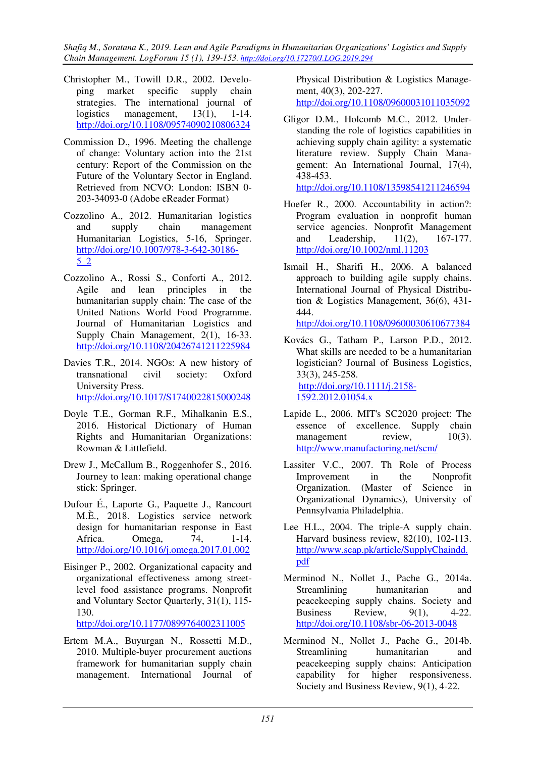- Christopher M., Towill D.R., 2002. Developing market specific supply chain strategies. The international journal of logistics management, 13(1), 1-14. http://doi.org/10.1108/09574090210806324
- Commission D., 1996. Meeting the challenge of change: Voluntary action into the 21st century: Report of the Commission on the Future of the Voluntary Sector in England. Retrieved from NCVO: London: ISBN 0- 203-34093-0 (Adobe eReader Format)
- Cozzolino A., 2012. Humanitarian logistics and supply chain management Humanitarian Logistics, 5-16, Springer. http://doi.org/10.1007/978-3-642-30186- 5\_2
- Cozzolino A., Rossi S., Conforti A., 2012. Agile and lean principles in the humanitarian supply chain: The case of the United Nations World Food Programme. Journal of Humanitarian Logistics and Supply Chain Management, 2(1), 16-33. http://doi.org/10.1108/20426741211225984
- Davies T.R., 2014. NGOs: A new history of transnational civil society: Oxford University Press. http://doi.org/10.1017/S1740022815000248
- Doyle T.E., Gorman R.F., Mihalkanin E.S., 2016. Historical Dictionary of Human Rights and Humanitarian Organizations: Rowman & Littlefield.
- Drew J., McCallum B., Roggenhofer S., 2016. Journey to lean: making operational change stick: Springer.
- Dufour É., Laporte G., Paquette J., Rancourt M.È., 2018. Logistics service network design for humanitarian response in East Africa. Omega, 74, 1-14. http://doi.org/10.1016/j.omega.2017.01.002
- Eisinger P., 2002. Organizational capacity and organizational effectiveness among streetlevel food assistance programs. Nonprofit and Voluntary Sector Quarterly, 31(1), 115- 130.

http://doi.org/10.1177/0899764002311005

Ertem M.A., Buyurgan N., Rossetti M.D., 2010. Multiple-buyer procurement auctions framework for humanitarian supply chain management. International Journal of

Physical Distribution & Logistics Management, 40(3), 202-227.

http://doi.org/10.1108/09600031011035092

Gligor D.M., Holcomb M.C., 2012. Understanding the role of logistics capabilities in achieving supply chain agility: a systematic literature review. Supply Chain Management: An International Journal, 17(4), 438-453.

http://doi.org/10.1108/13598541211246594

- Hoefer R., 2000. Accountability in action?: Program evaluation in nonprofit human service agencies. Nonprofit Management and Leadership, 11(2), 167-177. http://doi.org/10.1002/nml.11203
- Ismail H., Sharifi H., 2006. A balanced approach to building agile supply chains. International Journal of Physical Distribution & Logistics Management, 36(6), 431- 444.

http://doi.org/10.1108/09600030610677384

- Kovács G., Tatham P., Larson P.D., 2012. What skills are needed to be a humanitarian logistician? Journal of Business Logistics, 33(3), 245-258. http://doi.org/10.1111/j.2158- 1592.2012.01054.x
- Lapide L., 2006. MIT's SC2020 project: The essence of excellence. Supply chain management review,  $10(3)$ . http://www.manufactoring.net/scm/
- Lassiter V.C., 2007. Th Role of Process Improvement in the Nonprofit Organization. (Master of Science in Organizational Dynamics), University of Pennsylvania Philadelphia.
- Lee H.L., 2004. The triple-A supply chain. Harvard business review, 82(10), 102-113. http://www.scap.pk/article/SupplyChaindd. pdf
- Merminod N., Nollet J., Pache G., 2014a. Streamlining humanitarian and peacekeeping supply chains. Society and Business Review, 9(1), 4-22. http://doi.org/10.1108/sbr-06-2013-0048
- Merminod N., Nollet J., Pache G., 2014b. Streamlining humanitarian and peacekeeping supply chains: Anticipation capability for higher responsiveness. Society and Business Review, 9(1), 4-22.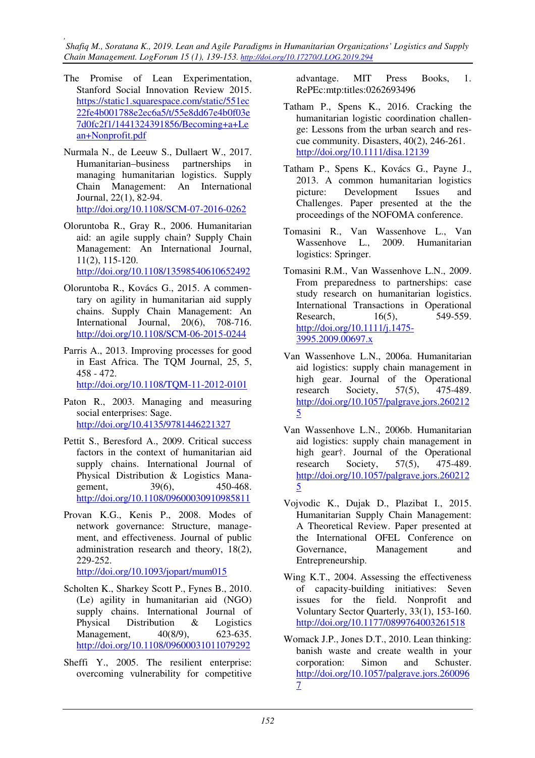- The Promise of Lean Experimentation, Stanford Social Innovation Review 2015. https://static1.squarespace.com/static/551ec 22fe4b001788e2ec6a5/t/55e8dd67e4b0f03e 7d0fc2f1/1441324391856/Becoming+a+Le an+Nonprofit.pdf
- Nurmala N., de Leeuw S., Dullaert W., 2017. Humanitarian–business partnerships in managing humanitarian logistics. Supply Chain Management: An International Journal, 22(1), 82-94. http://doi.org/10.1108/SCM-07-2016-0262
- Oloruntoba R., Gray R., 2006. Humanitarian aid: an agile supply chain? Supply Chain Management: An International Journal, 11(2), 115-120. http://doi.org/10.1108/13598540610652492
- Oloruntoba R., Kovács G., 2015. A commentary on agility in humanitarian aid supply chains. Supply Chain Management: An International Journal, 20(6), 708-716. http://doi.org/10.1108/SCM-06-2015-0244
- Parris A., 2013. Improving processes for good in East Africa. The TQM Journal, 25, 5, 458 - 472.

http://doi.org/10.1108/TQM-11-2012-0101

- Paton R., 2003. Managing and measuring social enterprises: Sage. http://doi.org/10.4135/9781446221327
- Pettit S., Beresford A., 2009. Critical success factors in the context of humanitarian aid supply chains. International Journal of Physical Distribution & Logistics Management, 39(6), 450-468. http://doi.org/10.1108/09600030910985811
- Provan K.G., Kenis P., 2008. Modes of network governance: Structure, management, and effectiveness. Journal of public administration research and theory, 18(2), 229-252.

http://doi.org/10.1093/jopart/mum015

- Scholten K., Sharkey Scott P., Fynes B., 2010. (Le) agility in humanitarian aid (NGO) supply chains. International Journal of Physical Distribution & Logistics Management, 40(8/9), 623-635. http://doi.org/10.1108/09600031011079292
- Sheffi Y., 2005. The resilient enterprise: overcoming vulnerability for competitive

advantage. MIT Press Books, 1. RePEc:mtp:titles:0262693496

- Tatham P., Spens K., 2016. Cracking the humanitarian logistic coordination challenge: Lessons from the urban search and rescue community. Disasters, 40(2), 246-261. http://doi.org/10.1111/disa.12139
- Tatham P., Spens K., Kovács G., Payne J., 2013. A common humanitarian logistics picture: Development Issues and Challenges. Paper presented at the the proceedings of the NOFOMA conference.
- Tomasini R., Van Wassenhove L., Van 2009. Humanitarian logistics: Springer.
- Tomasini R.M., Van Wassenhove L.N., 2009. From preparedness to partnerships: case study research on humanitarian logistics. International Transactions in Operational Research, 16(5), 549-559. http://doi.org/10.1111/j.1475- 3995.2009.00697.x
- Van Wassenhove L.N., 2006a. Humanitarian aid logistics: supply chain management in high gear. Journal of the Operational research Society, 57(5), 475-489. http://doi.org/10.1057/palgrave.jors.260212 5
- Van Wassenhove L.N., 2006b. Humanitarian aid logistics: supply chain management in high gear†. Journal of the Operational research Society, 57(5), 475-489. http://doi.org/10.1057/palgrave.jors.260212 5
- Vojvodic K., Dujak D., Plazibat I., 2015. Humanitarian Supply Chain Management: A Theoretical Review. Paper presented at the International OFEL Conference on Governance, Management and Entrepreneurship.
- Wing K.T., 2004. Assessing the effectiveness of capacity-building initiatives: Seven issues for the field. Nonprofit and Voluntary Sector Quarterly, 33(1), 153-160. http://doi.org/10.1177/0899764003261518
- Womack J.P., Jones D.T., 2010. Lean thinking: banish waste and create wealth in your corporation: Simon and Schuster. http://doi.org/10.1057/palgrave.jors.260096 7